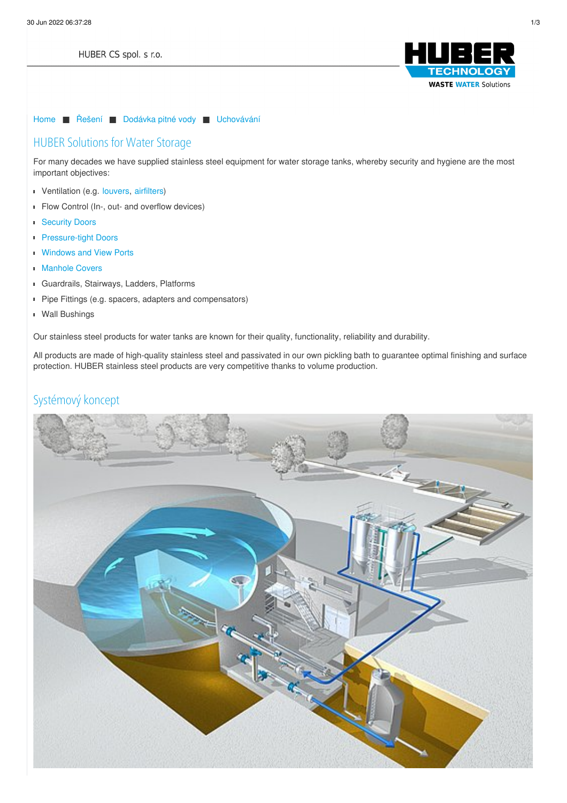

### [Home](/cz.html) ■ [Řešení](/cz/reseni.html) ■ [Dodávka](/cz/reseni/dodavka-pitne-vody.html) pitné vody ■ [Uchovávání](/cz/reseni/dodavka-pitne-vody/uchovavani.html)

# HUBER Solutions for Water Storage

For many decades we have supplied stainless steel equipment for water storage tanks, whereby security and hygiene are the most important objectives:

- Ventilation (e.g. [louvers](https://www.huber.de/cz/produkty/vybaveni-z-nerezove-oceli/technicke-dvere/zaluziove-dvere.html), [airfilters](https://www.huber.de/cz/produkty/vybaveni-z-nerezove-oceli/drinking-water-storage/odvetravani-a-ventilace.html))
- **Flow Control (In-, out- and overflow devices)**
- **[Security](https://www.huber.de/cz/produkty/vybaveni-z-nerezove-oceli/technicke-dvere/bezpecnostni-dvere.html) Doors** r
- [Pressure-tight](https://www.huber.de/cz/produkty/vybaveni-z-nerezove-oceli/technicke-dvere/hermeticke-dvere.html) Doors  $\blacksquare$
- **[Windows](https://www.huber.de/cz/produkty/vybaveni-z-nerezove-oceli/technicke-dvere/okna.html) and View Ports**
- [Manhole](https://www.huber.de/cz/produkty/vybaveni-z-nerezove-oceli/vybaveni-sachet/sachtove-poklopy.html) Covers  $\blacksquare$
- Guardrails, Stairways, Ladders, Platforms
- Pipe Fittings (e.g. spacers, adapters and compensators)
- Wall Bushings

Our stainless steel products for water tanks are known for their quality, functionality, reliability and durability.

All products are made of high-quality stainless steel and passivated in our own pickling bath to guarantee optimal finishing and surface pr[otecti](/cz/otisk.html)on. HUBER stainless steel products are very competitive thanks to volume production.

## Systémový koncept

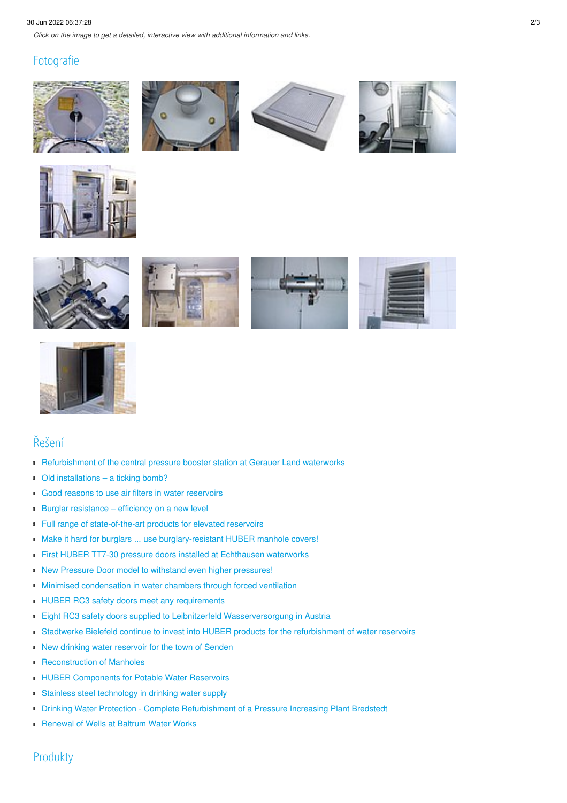### 30 Jun 2022 06:37:28 2/3

*Click on the image to get a detailed, interactive view with additional information and links.*

### Fotografie















### Řešení

- [Refurbishment](/cz/huber-report/ablage-berichte/edelstahlausruestungsteile/technical-doors/refurbishment-of-the-central-pressure-booster-station-at-gerauer-land-waterworks.html) of the central pressure booster station at Gerauer Land waterworks
- Old [installations](/cz/huber-report/ablage-berichte/edelstahlausruestungsteile/manhole-equipment/old-installations-a-ticking-bomb.html) a ticking bomb?
- Good reasons to use air filters in water [reservoirs](/cz/huber-report/ablage-berichte/edelstahlausruestungsteile/trinkwasserspeicher/good-reasons-to-use-air-filters-in-water-reservoirs.html)  $\blacksquare$
- Burglar [resistance](/cz/huber-report/ablage-berichte/edelstahlausruestungsteile/manhole-equipment/burglar-resistance-efficiency-on-a-new-level.html) efficiency on a new level
- Full range of [state-of-the-art](/cz/huber-report/ablage-berichte/edelstahlausruestungsteile/trinkwasserspeicher/full-range-of-state-of-the-art-products-for-elevated-reservoirs.html) products for elevated reservoirs
- Make it hard for burglars ... use burglary-resistant HUBER manhole covers!
- First HUBER TT7-30 pressure doors installed at [Echthausen](/cz/huber-report/ablage-berichte/edelstahlausruestungsteile/technical-doors/first-huber-tt7-30-pressure-doors-installed-at-echthausen-waterworks.html) waterworks
- New Pressure Door model to withstand even higher [pressures!](/cz/huber-report/ablage-berichte/edelstahlausruestungsteile/technical-doors/new-pressure-door-model-to-withstand-even-higher-pressures.html)  $\blacksquare$
- **Minimised [condensation](/cz/huber-report/ablage-berichte/edelstahlausruestungsteile/trinkwasserspeicher/minimised-condensation-in-water-chambers-through-forced-ventilation.html) in water chambers through forced ventilation**
- **HUBER RC3 safety doors meet any [requirements](/cz/huber-report/ablage-berichte/edelstahlausruestungsteile/technical-doors/huber-rc3-safety-doors-meet-any-requirements.html)**
- **Eight RC3 safety doors supplied to Leibnitzerfeld [Wasserversorgung](/cz/huber-report/ablage-berichte/newsletter-ext/eight-rc3-safety-doors-supplied-to-leibnitzerfeld-wasserversorgung-in-austria.html) in Austria**
- Stadtwerke Bielefeld continue to invest into HUBER products for the [refurbishment](/cz/huber-report/ablage-berichte/edelstahlausruestungsteile/trinkwasserspeicher/stadtwerke-bielefeld-continue-to-invest-into-huber-products-for-the-refurbishment-of-water-reservoirs.html) of water reservoirs ī
- New drinking water [reservoir](/cz/huber-report/ablage-berichte/edelstahlausruestungsteile/trinkwasserspeicher/new-drinking-water-reservoir-for-the-town-of-senden.html) for the town of Senden
- **[Reconstruction](/cz/huber-report/ablage-berichte/edelstahlausruestungsteile/manhole-equipment/reconstruction-of-manholes.html) of Manholes**
- **HUBER [Components](/cz/huber-report/ablage-berichte/edelstahlausruestungsteile/technical-doors/huber-components-for-potable-water-reservoirs.html) for Potable Water Reservoirs**
- Stainless steel [technology](/cz/huber-report/ablage-berichte/edelstahlausruestungsteile/manhole-equipment/stainless-steel-technology-in-drinking-water-supply.html) in drinking water supply
- **Drinking Water Protection Complete Refurbishment of a Pressure Increasing Plant Bredstedt**
- **[Renewal](/cz/huber-report/ablage-berichte/edelstahlausruestungsteile/manhole-equipment/renewal-of-wells-at-baltrum-water-works.html) of Wells at Baltrum Water Works**

Produkty